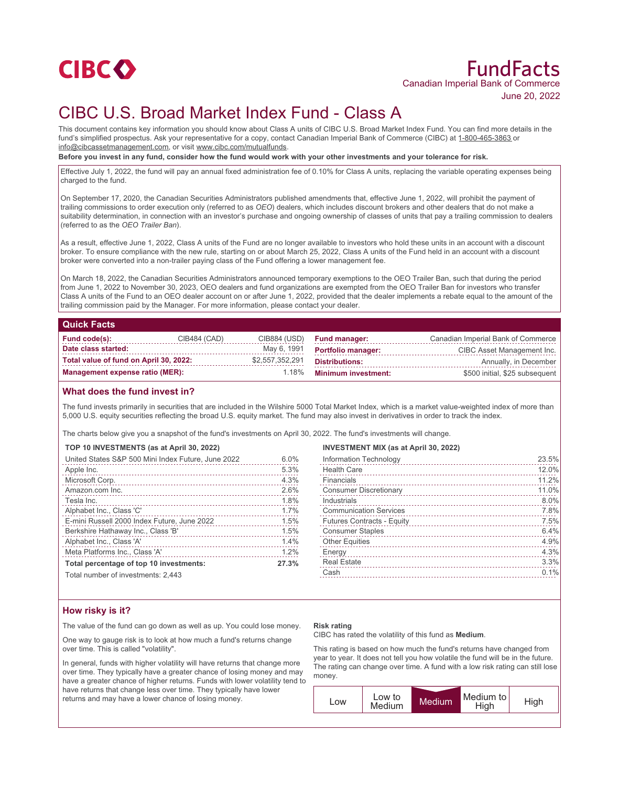

# FundFacts Canadian Imperial Bank of Commerce June 20, 2022

# CIBC U.S. Broad Market Index Fund - Class A

This document contains key information you should know about Class A units of CIBC U.S. Broad Market Index Fund. You can find more details in the fund's simplified prospectus. Ask your representative for a copy, contact Canadian Imperial Bank of Commerce (CIBC) at 1-800-465-3863 or info@cibcassetmanagement.com, or visit www.cibc.com/mutualfunds.

**Before you invest in any fund, consider how the fund would work with your other investments and your tolerance for risk.**

Effective July 1, 2022, the fund will pay an annual fixed administration fee of 0.10% for Class A units, replacing the variable operating expenses being charged to the fund.

On September 17, 2020, the Canadian Securities Administrators published amendments that, effective June 1, 2022, will prohibit the payment of trailing commissions to order execution only (referred to as *OEO*) dealers, which includes discount brokers and other dealers that do not make a suitability determination, in connection with an investor's purchase and ongoing ownership of classes of units that pay a trailing commission to dealers (referred to as the *OEO Trailer Ban*).

As a result, effective June 1, 2022, Class A units of the Fund are no longer available to investors who hold these units in an account with a discount broker. To ensure compliance with the new rule, starting on or about March 25, 2022, Class A units of the Fund held in an account with a discount broker were converted into a non-trailer paying class of the Fund offering a lower management fee.

On March 18, 2022, the Canadian Securities Administrators announced temporary exemptions to the OEO Trailer Ban, such that during the period from June 1, 2022 to November 30, 2023, OEO dealers and fund organizations are exempted from the OEO Trailer Ban for investors who transfer Class A units of the Fund to an OEO dealer account on or after June 1, 2022, provided that the dealer implements a rebate equal to the amount of the trailing commission paid by the Manager. For more information, please contact your dealer.

### **Quick Facts**

| Fund code(s):                          | CIB484 (CAD) | CIB884 (USD)    | <b>Fund manager:</b>      | Canadian Imperial Bank of Commerce |
|----------------------------------------|--------------|-----------------|---------------------------|------------------------------------|
| Date class started:                    |              | May 6, 1991     | <b>Portfolio manager:</b> | CIBC Asset Management Inc.         |
| Total value of fund on April 30, 2022: |              | \$2,557,352,291 | Distributions:            | Annually, in December              |
| Management expense ratio (MER):        |              |                 | 1.18% Minimum investment: | \$500 initial, \$25 subsequent     |

## **What does the fund invest in?**

The fund invests primarily in securities that are included in the Wilshire 5000 Total Market Index, which is a market value-weighted index of more than 5,000 U.S. equity securities reflecting the broad U.S. equity market. The fund may also invest in derivatives in order to track the index.

The charts below give you a snapshot of the fund's investments on April 30, 2022. The fund's investments will change.

## **TOP 10 INVESTMENTS (as at April 30, 2022)**

| United States S&P 500 Mini Index Future, June 2022 | 6.0%  |
|----------------------------------------------------|-------|
| Apple Inc.                                         | 5.3%  |
| Microsoft Corp.                                    | 4.3%  |
| Amazon.com Inc.                                    | 2.6%  |
| Tesla Inc.                                         | 1.8%  |
| Alphabet Inc., Class 'C'                           | 1.7%  |
| E-mini Russell 2000 Index Future, June 2022        | 1.5%  |
| Berkshire Hathaway Inc., Class 'B'                 | 1.5%  |
| Alphabet Inc., Class 'A'                           | 1.4%  |
| Meta Platforms Inc., Class 'A'                     | 1.2%  |
| Total percentage of top 10 investments:            | 27.3% |
| Total number of investments: $9.443$               |       |

al number of investments: 2.443

#### **INVESTMENT MIX (as at April 30, 2022)**

| Information Technology            | 23.5% |
|-----------------------------------|-------|
| <b>Health Care</b>                | 12.0% |
| Financials                        | 11.2% |
| <b>Consumer Discretionary</b>     | 11.0% |
| Industrials                       | 8.0%  |
| <b>Communication Services</b>     | 7.8%  |
| <b>Futures Contracts - Equity</b> | 7.5%  |
| <b>Consumer Staples</b>           | 6.4%  |
| <b>Other Equities</b>             | 4.9%  |
| Energy                            | 4.3%  |
| <b>Real Estate</b>                | 3.3%  |
| Cash                              | 0.1%  |
|                                   |       |

## **How risky is it?**

The value of the fund can go down as well as up. You could lose money.

One way to gauge risk is to look at how much a fund's returns change over time. This is called "volatility".

In general, funds with higher volatility will have returns that change more over time. They typically have a greater chance of losing money and may have a greater chance of higher returns. Funds with lower volatility tend to have returns that change less over time. They typically have lower returns and may have a lower chance of losing money.

#### **Risk rating**

CIBC has rated the volatility of this fund as **Medium**.

This rating is based on how much the fund's returns have changed from year to year. It does not tell you how volatile the fund will be in the future. The rating can change over time. A fund with a low risk rating can still lose money.

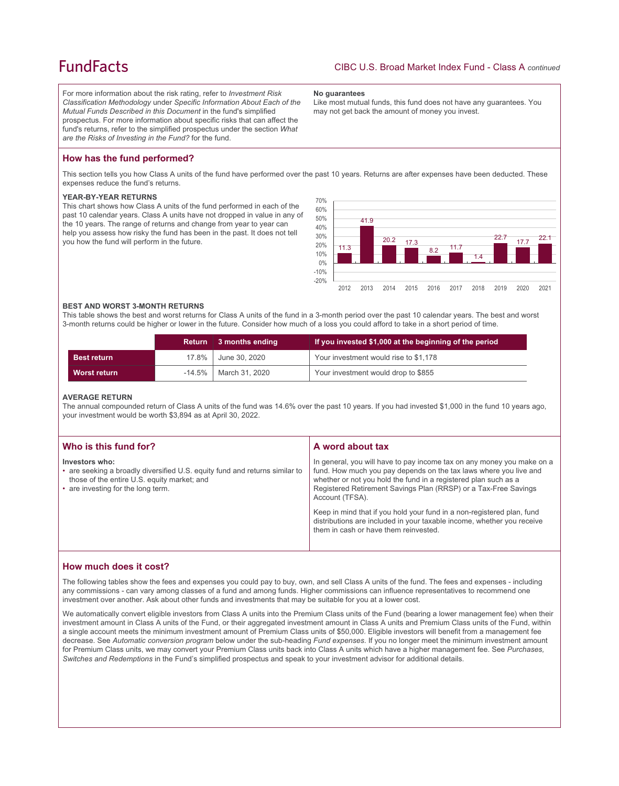## **FundFacts**

For more information about the risk rating, refer to *Investment Risk Classification Methodology* under *Specific Information About Each of the Mutual Funds Described in this Document* in the fund's simplified prospectus. For more information about specific risks that can affect the fund's returns, refer to the simplified prospectus under the section *What are the Risks of Investing in the Fund?* for the fund.

#### **No guarantees**

Like most mutual funds, this fund does not have any guarantees. You may not get back the amount of money you invest.

## **How has the fund performed?**

This section tells you how Class A units of the fund have performed over the past 10 years. Returns are after expenses have been deducted. These expenses reduce the fund's returns.

#### **YEAR-BY-YEAR RETURNS**

This chart shows how Class A units of the fund performed in each of the past 10 calendar years. Class A units have not dropped in value in any of the 10 years. The range of returns and change from year to year can help you assess how risky the fund has been in the past. It does not tell you how the fund will perform in the future.



#### **BEST AND WORST 3-MONTH RETURNS**

This table shows the best and worst returns for Class A units of the fund in a 3-month period over the past 10 calendar years. The best and worst 3-month returns could be higher or lower in the future. Consider how much of a loss you could afford to take in a short period of time.

|                     | <b>Return</b> | 3 months ending | If you invested \$1,000 at the beginning of the period |
|---------------------|---------------|-----------------|--------------------------------------------------------|
| <b>Best return</b>  | $17.8\%$      | June 30, 2020   | Your investment would rise to \$1,178                  |
| <b>Worst return</b> | $-14.5\%$     | March 31, 2020  | Your investment would drop to \$855                    |

#### **AVERAGE RETURN**

The annual compounded return of Class A units of the fund was 14.6% over the past 10 years. If you had invested \$1,000 in the fund 10 years ago, your investment would be worth \$3,894 as at April 30, 2022.

| Who is this fund for?                                                                                                                                                              | A word about tax                                                                                                                                                                                                                                                                                     |
|------------------------------------------------------------------------------------------------------------------------------------------------------------------------------------|------------------------------------------------------------------------------------------------------------------------------------------------------------------------------------------------------------------------------------------------------------------------------------------------------|
| Investors who:<br>• are seeking a broadly diversified U.S. equity fund and returns similar to<br>those of the entire U.S. equity market; and<br>• are investing for the long term. | In general, you will have to pay income tax on any money you make on a<br>fund. How much you pay depends on the tax laws where you live and<br>whether or not you hold the fund in a registered plan such as a<br>Registered Retirement Savings Plan (RRSP) or a Tax-Free Savings<br>Account (TFSA). |
|                                                                                                                                                                                    | Keep in mind that if you hold your fund in a non-registered plan, fund<br>distributions are included in your taxable income, whether you receive<br>them in cash or have them reinvested.                                                                                                            |

## **How much does it cost?**

The following tables show the fees and expenses you could pay to buy, own, and sell Class A units of the fund. The fees and expenses - including any commissions - can vary among classes of a fund and among funds. Higher commissions can influence representatives to recommend one investment over another. Ask about other funds and investments that may be suitable for you at a lower cost.

We automatically convert eligible investors from Class A units into the Premium Class units of the Fund (bearing a lower management fee) when their investment amount in Class A units of the Fund, or their aggregated investment amount in Class A units and Premium Class units of the Fund, within a single account meets the minimum investment amount of Premium Class units of \$50,000. Eligible investors will benefit from a management fee decrease. See *Automatic conversion program* below under the sub-heading *Fund expenses*. If you no longer meet the minimum investment amount for Premium Class units, we may convert your Premium Class units back into Class A units which have a higher management fee. See *Purchases, Switches and Redemptions* in the Fund's simplified prospectus and speak to your investment advisor for additional details.